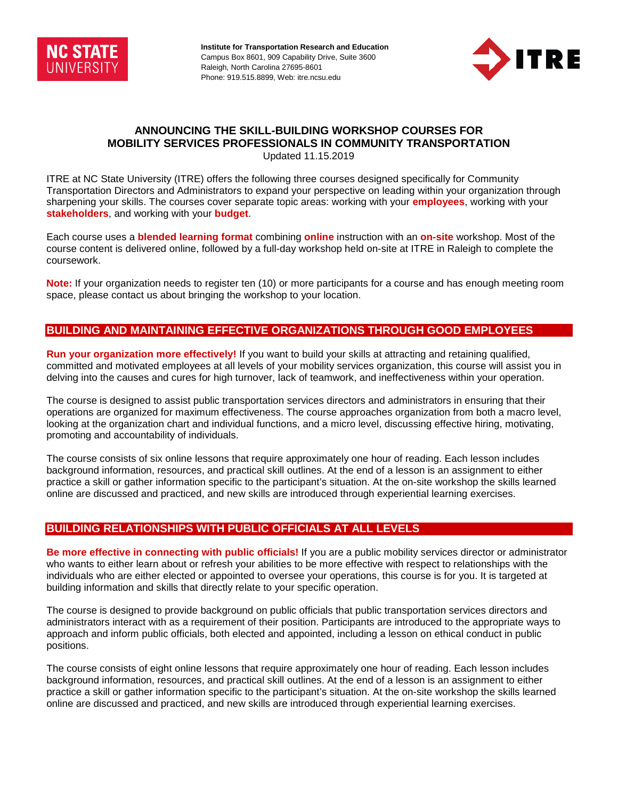

**Institute for Transportation Research and Education**  Campus Box 8601, 909 Capability Drive, Suite 3600 Raleigh, North Carolina 27695-8601 Phone: 919.515.8899, Web: itre.ncsu.edu



# **ANNOUNCING THE SKILL-BUILDING WORKSHOP COURSES FOR MOBILITY SERVICES PROFESSIONALS IN COMMUNITY TRANSPORTATION**

Updated 11.15.2019

ITRE at NC State University (ITRE) offers the following three courses designed specifically for Community Transportation Directors and Administrators to expand your perspective on leading within your organization through sharpening your skills. The courses cover separate topic areas: working with your **employees**, working with your **stakeholders**, and working with your **budget**.

Each course uses a **blended learning format** combining **online** instruction with an **on-site** workshop. Most of the course content is delivered online, followed by a full-day workshop held on-site at ITRE in Raleigh to complete the coursework.

**Note:** If your organization needs to register ten (10) or more participants for a course and has enough meeting room space, please contact us about bringing the workshop to your location.

## **BUILDING AND MAINTAINING EFFECTIVE ORGANIZATIONS THROUGH GOOD EMPLOYEES**

**Run your organization more effectively!** If you want to build your skills at attracting and retaining qualified, committed and motivated employees at all levels of your mobility services organization, this course will assist you in delving into the causes and cures for high turnover, lack of teamwork, and ineffectiveness within your operation.

The course is designed to assist public transportation services directors and administrators in ensuring that their operations are organized for maximum effectiveness. The course approaches organization from both a macro level, looking at the organization chart and individual functions, and a micro level, discussing effective hiring, motivating, promoting and accountability of individuals.

The course consists of six online lessons that require approximately one hour of reading. Each lesson includes background information, resources, and practical skill outlines. At the end of a lesson is an assignment to either practice a skill or gather information specific to the participant's situation. At the on-site workshop the skills learned online are discussed and practiced, and new skills are introduced through experiential learning exercises.

## **BUILDING RELATIONSHIPS WITH PUBLIC OFFICIALS AT ALL LEVELS**

**Be more effective in connecting with public officials!** If you are a public mobility services director or administrator who wants to either learn about or refresh your abilities to be more effective with respect to relationships with the individuals who are either elected or appointed to oversee your operations, this course is for you. It is targeted at building information and skills that directly relate to your specific operation.

The course is designed to provide background on public officials that public transportation services directors and administrators interact with as a requirement of their position. Participants are introduced to the appropriate ways to approach and inform public officials, both elected and appointed, including a lesson on ethical conduct in public positions.

The course consists of eight online lessons that require approximately one hour of reading. Each lesson includes background information, resources, and practical skill outlines. At the end of a lesson is an assignment to either practice a skill or gather information specific to the participant's situation. At the on-site workshop the skills learned online are discussed and practiced, and new skills are introduced through experiential learning exercises.